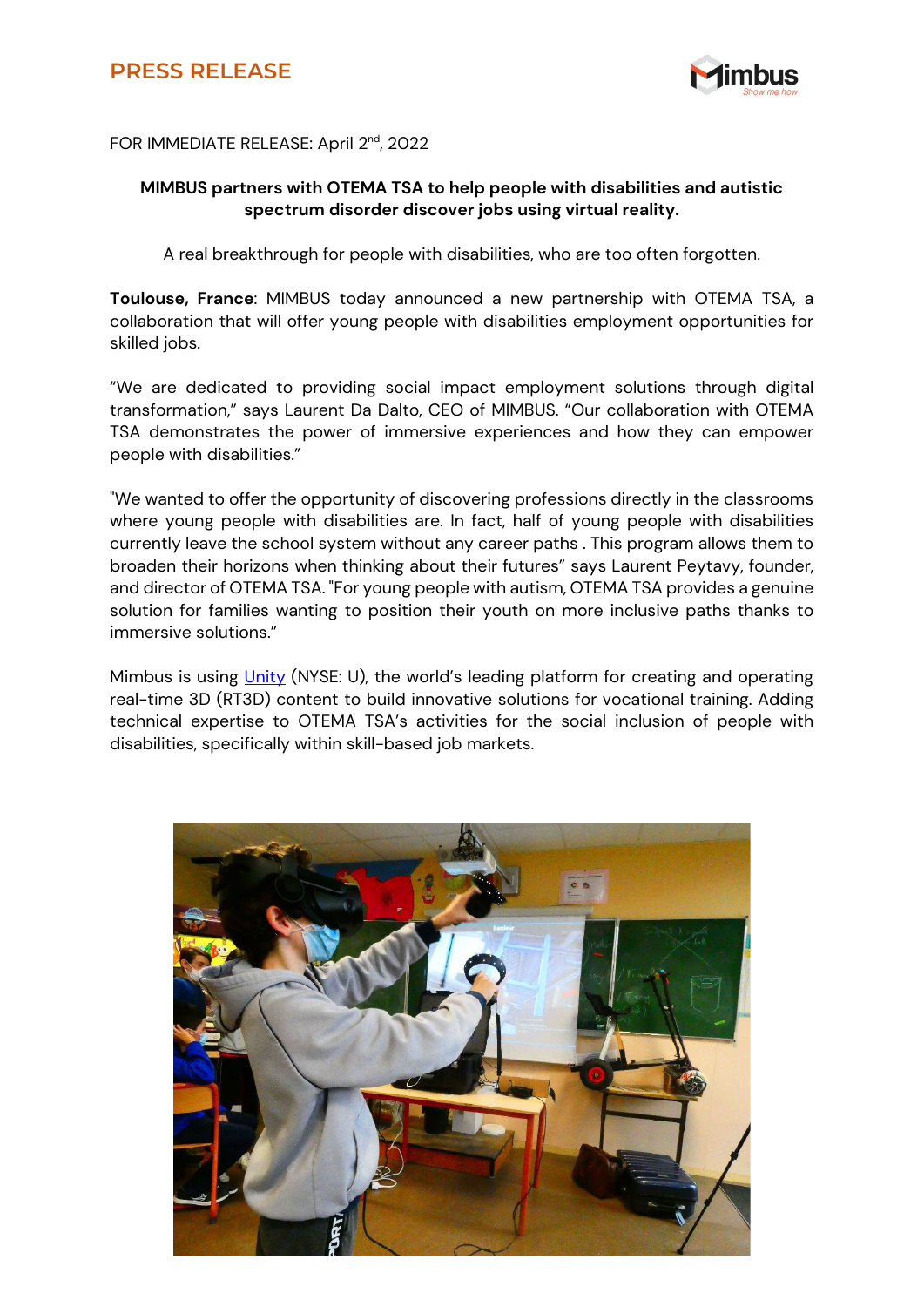## **PRESS RELEASE**



## FOR IMMEDIATE RELEASE: April 2<sup>nd</sup>, 2022

## **MIMBUS partners with OTEMA TSA to help people with disabilities and autistic spectrum disorder discover jobs using virtual reality.**

A real breakthrough for people with disabilities, who are too often forgotten.

**Toulouse, France**: MIMBUS today announced a new partnership with OTEMA TSA, a collaboration that will offer young people with disabilities employment opportunities for skilled jobs.

"We are dedicated to providing social impact employment solutions through digital transformation," says Laurent Da Dalto, CEO of MIMBUS. "Our collaboration with OTEMA TSA demonstrates the power of immersive experiences and how they can empower people with disabilities."

"We wanted to offer the opportunity of discovering professions directly in the classrooms where young people with disabilities are. In fact, half of young people with disabilities currently leave the school system without any career paths . This program allows them to broaden their horizons when thinking about their futures" says Laurent Peytavy, founder, and director of OTEMA TSA. "For young people with autism, OTEMA TSA provides a genuine solution for families wanting to position their youth on more inclusive paths thanks to immersive solutions."

Mimbus is using [Unity](http://www.unity3d.com/) (NYSE: U), the world's leading platform for creating and operating real-time 3D (RT3D) content to build innovative solutions for vocational training. Adding technical expertise to OTEMA TSA's activities for the social inclusion of people with disabilities, specifically within skill-based job markets.